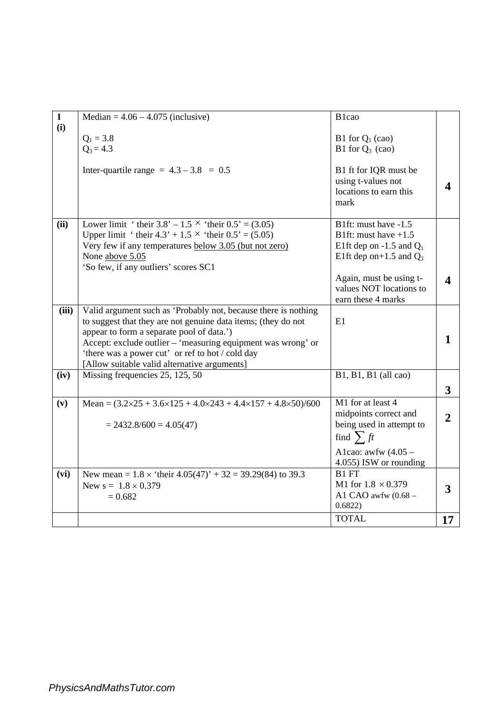| $\mathbf{1}$ | Median = $4.06 - 4.075$ (inclusive)                                                             | B <sub>1</sub> cao           |                |
|--------------|-------------------------------------------------------------------------------------------------|------------------------------|----------------|
| (i)          |                                                                                                 |                              |                |
|              | $Q_1 = 3.8$                                                                                     | B1 for $Q_1$ (cao)           |                |
|              | $Q_3 = 4.3$                                                                                     | B1 for $Q_3$ (cao)           |                |
|              | Inter-quartile range = $4.3 - 3.8 = 0.5$                                                        | B1 ft for IQR must be        |                |
|              |                                                                                                 | using t-values not           |                |
|              |                                                                                                 | locations to earn this       |                |
|              |                                                                                                 | mark                         |                |
| (ii)         | Lower limit 'their $3.8' - 1.5$ 'their $0.5' = (3.05)$                                          | B1ft: must have $-1.5$       |                |
|              | Upper limit ' their $4.3' + 1.5 \times$ 'their $0.5' = (5.05)$                                  | B1ft: must have $+1.5$       |                |
|              | Very few if any temperatures below 3.05 (but not zero)                                          | E1ft dep on $-1.5$ and $Q_1$ |                |
|              | None above 5.05                                                                                 | E1ft dep on+1.5 and $Q_3$    |                |
|              | 'So few, if any outliers' scores SC1                                                            |                              |                |
|              |                                                                                                 | Again, must be using t-      |                |
|              |                                                                                                 | values NOT locations to      |                |
|              |                                                                                                 | earn these 4 marks           |                |
| (iii)        | Valid argument such as 'Probably not, because there is nothing                                  |                              |                |
|              | to suggest that they are not genuine data items; (they do not                                   | E1                           |                |
|              | appear to form a separate pool of data.')                                                       |                              | 1              |
|              | Accept: exclude outlier – 'measuring equipment was wrong' or                                    |                              |                |
|              | 'there was a power cut' or ref to hot / cold day                                                |                              |                |
| (iv)         | [Allow suitable valid alternative arguments]                                                    |                              |                |
|              | Missing frequencies 25, 125, 50                                                                 | B1, B1, B1 (all cao)         |                |
|              |                                                                                                 |                              | $\mathbf{3}$   |
| (v)          | Mean = $(3.2 \times 25 + 3.6 \times 125 + 4.0 \times 243 + 4.4 \times 157 + 4.8 \times 50)/600$ | M1 for at least 4            |                |
|              |                                                                                                 | midpoints correct and        | $\overline{2}$ |
|              | $= 2432.8/600 = 4.05(47)$                                                                       | being used in attempt to     |                |
|              |                                                                                                 | find $\sum ft$               |                |
|              |                                                                                                 | A1cao: awfw $(4.05 -$        |                |
|              |                                                                                                 | 4.055) ISW or rounding       |                |
| (vi)         | New mean = $1.8 \times$ 'their $4.05(47)$ ' + 32 = 39.29(84) to 39.3                            | B1 FT                        |                |
|              | New $s = 1.8 \times 0.379$                                                                      | M1 for $1.8 \times 0.379$    | 3              |
|              | $= 0.682$                                                                                       | A1 CAO awfw $(0.68 -$        |                |
|              |                                                                                                 | 0.6822)                      |                |
|              |                                                                                                 | <b>TOTAL</b>                 | 17             |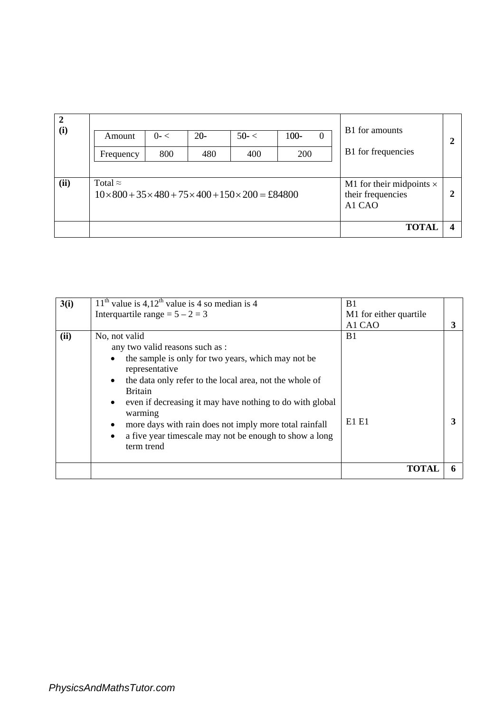| $\overline{2}$<br>(i) | Amount<br>Frequency | $0 - 1$<br>800                                                                               | $20 -$<br>480 | $50 - <$<br>400 | $100 -$<br>200 | $\theta$                                                       | B1 for amounts<br>B1 for frequencies | 2 |
|-----------------------|---------------------|----------------------------------------------------------------------------------------------|---------------|-----------------|----------------|----------------------------------------------------------------|--------------------------------------|---|
| (ii)                  | Total $\approx$     | $10 \times 800 + 35 \times 480 + 75 \times 400 + 150 \times 200 = \text{\textsterling}84800$ |               |                 |                | M1 for their midpoints $\times$<br>their frequencies<br>A1 CAO | 2                                    |   |
|                       |                     |                                                                                              |               |                 |                |                                                                | <b>TOTA</b>                          |   |

| 3(i) | $11th$ value is 4,12 <sup>th</sup> value is 4 so median is 4<br>Interquartile range = $5 - 2 = 3$                                                                                                                                                                                                                                                                                                                                                                       | B <sub>1</sub><br>M1 for either quartile<br>A1 CAO | 3 |
|------|-------------------------------------------------------------------------------------------------------------------------------------------------------------------------------------------------------------------------------------------------------------------------------------------------------------------------------------------------------------------------------------------------------------------------------------------------------------------------|----------------------------------------------------|---|
| (ii) | No, not valid<br>any two valid reasons such as :<br>the sample is only for two years, which may not be<br>$\bullet$<br>representative<br>the data only refer to the local area, not the whole of<br>$\bullet$<br><b>Britain</b><br>even if decreasing it may have nothing to do with global<br>$\bullet$<br>warming<br>more days with rain does not imply more total rainfall<br>٠<br>a five year timescale may not be enough to show a long<br>$\bullet$<br>term trend | B <sub>1</sub><br>E1 E1                            |   |
|      |                                                                                                                                                                                                                                                                                                                                                                                                                                                                         | TOTAI                                              |   |